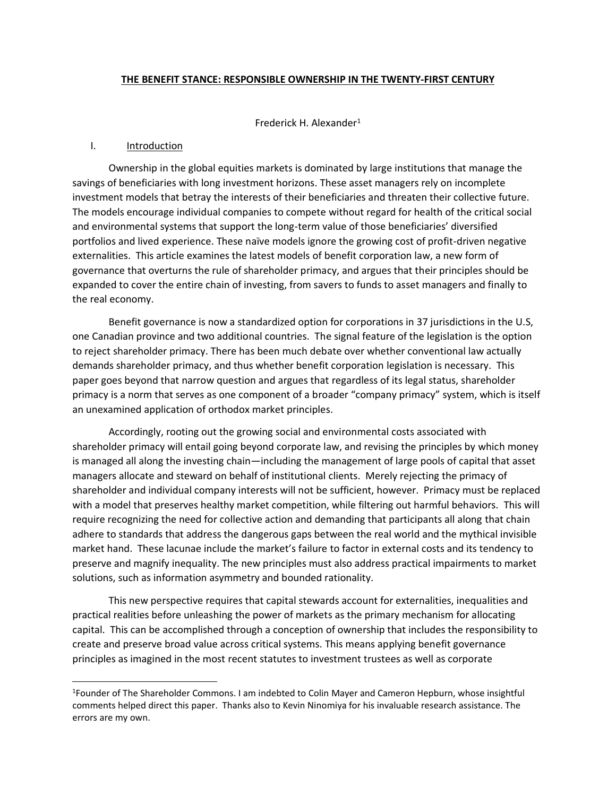### **THE BENEFIT STANCE: RESPONSIBLE OWNERSHIP IN THE TWENTY-FIRST CENTURY**

Frederick H. Alexander<sup>1</sup>

### I. Introduction

Ownership in the global equities markets is dominated by large institutions that manage the savings of beneficiaries with long investment horizons. These asset managers rely on incomplete investment models that betray the interests of their beneficiaries and threaten their collective future. The models encourage individual companies to compete without regard for health of the critical social and environmental systems that support the long-term value of those beneficiaries' diversified portfolios and lived experience. These naïve models ignore the growing cost of profit-driven negative externalities. This article examines the latest models of benefit corporation law, a new form of governance that overturns the rule of shareholder primacy, and argues that their principles should be expanded to cover the entire chain of investing, from savers to funds to asset managers and finally to the real economy.

Benefit governance is now a standardized option for corporations in 37 jurisdictions in the U.S, one Canadian province and two additional countries. The signal feature of the legislation is the option to reject shareholder primacy. There has been much debate over whether conventional law actually demands shareholder primacy, and thus whether benefit corporation legislation is necessary. This paper goes beyond that narrow question and argues that regardless of its legal status, shareholder primacy is a norm that serves as one component of a broader "company primacy" system, which is itself an unexamined application of orthodox market principles.

Accordingly, rooting out the growing social and environmental costs associated with shareholder primacy will entail going beyond corporate law, and revising the principles by which money is managed all along the investing chain—including the management of large pools of capital that asset managers allocate and steward on behalf of institutional clients. Merely rejecting the primacy of shareholder and individual company interests will not be sufficient, however. Primacy must be replaced with a model that preserves healthy market competition, while filtering out harmful behaviors. This will require recognizing the need for collective action and demanding that participants all along that chain adhere to standards that address the dangerous gaps between the real world and the mythical invisible market hand. These lacunae include the market's failure to factor in external costs and its tendency to preserve and magnify inequality. The new principles must also address practical impairments to market solutions, such as information asymmetry and bounded rationality.

This new perspective requires that capital stewards account for externalities, inequalities and practical realities before unleashing the power of markets as the primary mechanism for allocating capital. This can be accomplished through a conception of ownership that includes the responsibility to create and preserve broad value across critical systems. This means applying benefit governance principles as imagined in the most recent statutes to investment trustees as well as corporate

<sup>1</sup>Founder of The Shareholder Commons. I am indebted to Colin Mayer and Cameron Hepburn, whose insightful comments helped direct this paper. Thanks also to Kevin Ninomiya for his invaluable research assistance. The errors are my own.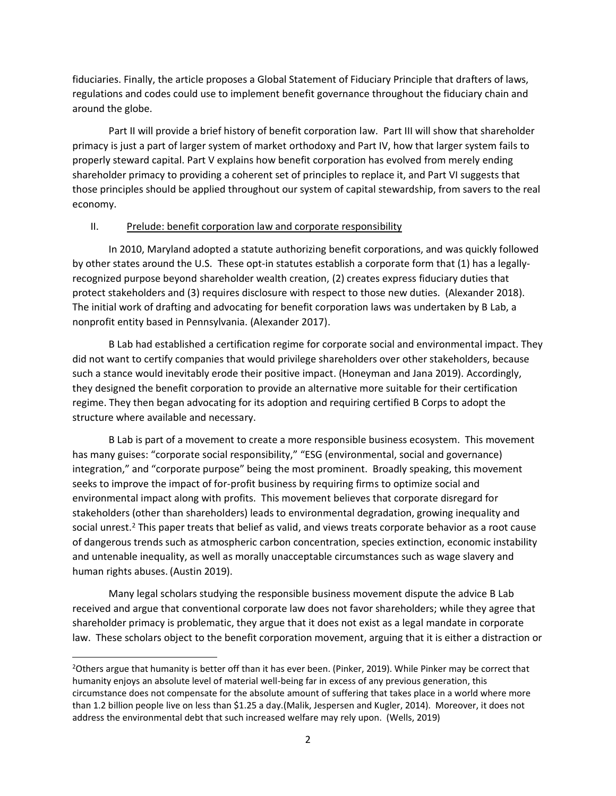fiduciaries. Finally, the article proposes a Global Statement of Fiduciary Principle that drafters of laws, regulations and codes could use to implement benefit governance throughout the fiduciary chain and around the globe.

Part II will provide a brief history of benefit corporation law. Part III will show that shareholder primacy is just a part of larger system of market orthodoxy and Part IV, how that larger system fails to properly steward capital. Part V explains how benefit corporation has evolved from merely ending shareholder primacy to providing a coherent set of principles to replace it, and Part VI suggests that those principles should be applied throughout our system of capital stewardship, from savers to the real economy.

## II. Prelude: benefit corporation law and corporate responsibility

In 2010, Maryland adopted a statute authorizing benefit corporations, and was quickly followed by other states around the U.S. These opt-in statutes establish a corporate form that (1) has a legallyrecognized purpose beyond shareholder wealth creation, (2) creates express fiduciary duties that protect stakeholders and (3) requires disclosure with respect to those new duties. (Alexander 2018). The initial work of drafting and advocating for benefit corporation laws was undertaken by B Lab, a nonprofit entity based in Pennsylvania. (Alexander 2017).

B Lab had established a certification regime for corporate social and environmental impact. They did not want to certify companies that would privilege shareholders over other stakeholders, because such a stance would inevitably erode their positive impact. (Honeyman and Jana 2019). Accordingly, they designed the benefit corporation to provide an alternative more suitable for their certification regime. They then began advocating for its adoption and requiring certified B Corps to adopt the structure where available and necessary.

B Lab is part of a movement to create a more responsible business ecosystem. This movement has many guises: "corporate social responsibility," "ESG (environmental, social and governance) integration," and "corporate purpose" being the most prominent. Broadly speaking, this movement seeks to improve the impact of for-profit business by requiring firms to optimize social and environmental impact along with profits. This movement believes that corporate disregard for stakeholders (other than shareholders) leads to environmental degradation, growing inequality and social unrest.<sup>2</sup> This paper treats that belief as valid, and views treats corporate behavior as a root cause of dangerous trends such as atmospheric carbon concentration, species extinction, economic instability and untenable inequality, as well as morally unacceptable circumstances such as wage slavery and human rights abuses. (Austin 2019).

Many legal scholars studying the responsible business movement dispute the advice B Lab received and argue that conventional corporate law does not favor shareholders; while they agree that shareholder primacy is problematic, they argue that it does not exist as a legal mandate in corporate law. These scholars object to the benefit corporation movement, arguing that it is either a distraction or

<sup>&</sup>lt;sup>2</sup>Others argue that humanity is better off than it has ever been. (Pinker, 2019). While Pinker may be correct that humanity enjoys an absolute level of material well-being far in excess of any previous generation, this circumstance does not compensate for the absolute amount of suffering that takes place in a world where more than 1.2 billion people live on less than \$1.25 a day.(Malik, Jespersen and Kugler, 2014). Moreover, it does not address the environmental debt that such increased welfare may rely upon. (Wells, 2019)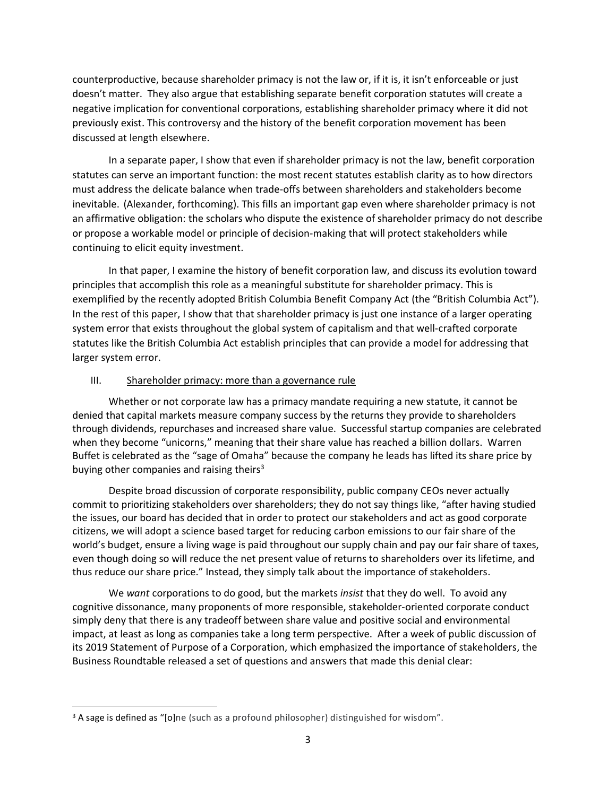counterproductive, because shareholder primacy is not the law or, if it is, it isn't enforceable or just doesn't matter. They also argue that establishing separate benefit corporation statutes will create a negative implication for conventional corporations, establishing shareholder primacy where it did not previously exist. This controversy and the history of the benefit corporation movement has been discussed at length elsewhere.

In a separate paper, I show that even if shareholder primacy is not the law, benefit corporation statutes can serve an important function: the most recent statutes establish clarity as to how directors must address the delicate balance when trade-offs between shareholders and stakeholders become inevitable. (Alexander, forthcoming). This fills an important gap even where shareholder primacy is not an affirmative obligation: the scholars who dispute the existence of shareholder primacy do not describe or propose a workable model or principle of decision-making that will protect stakeholders while continuing to elicit equity investment.

In that paper, I examine the history of benefit corporation law, and discuss its evolution toward principles that accomplish this role as a meaningful substitute for shareholder primacy. This is exemplified by the recently adopted British Columbia Benefit Company Act (the "British Columbia Act"). In the rest of this paper, I show that that shareholder primacy is just one instance of a larger operating system error that exists throughout the global system of capitalism and that well-crafted corporate statutes like the British Columbia Act establish principles that can provide a model for addressing that larger system error.

## III. Shareholder primacy: more than a governance rule

Whether or not corporate law has a primacy mandate requiring a new statute, it cannot be denied that capital markets measure company success by the returns they provide to shareholders through dividends, repurchases and increased share value. Successful startup companies are celebrated when they become "unicorns," meaning that their share value has reached a billion dollars. Warren Buffet is celebrated as the "sage of Omaha" because the company he leads has lifted its share price by buying other companies and raising theirs<sup>3</sup>

Despite broad discussion of corporate responsibility, public company CEOs never actually commit to prioritizing stakeholders over shareholders; they do not say things like, "after having studied the issues, our board has decided that in order to protect our stakeholders and act as good corporate citizens, we will adopt a science based target for reducing carbon emissions to our fair share of the world's budget, ensure a living wage is paid throughout our supply chain and pay our fair share of taxes, even though doing so will reduce the net present value of returns to shareholders over its lifetime, and thus reduce our share price." Instead, they simply talk about the importance of stakeholders.

We *want* corporations to do good, but the markets *insist* that they do well. To avoid any cognitive dissonance, many proponents of more responsible, stakeholder-oriented corporate conduct simply deny that there is any tradeoff between share value and positive social and environmental impact, at least as long as companies take a long term perspective. After a week of public discussion of its 2019 Statement of Purpose of a Corporation, which emphasized the importance of stakeholders, the Business Roundtable released a set of questions and answers that made this denial clear:

<sup>&</sup>lt;sup>3</sup> A sage is defined as "[o]ne (such as a profound philosopher) distinguished for wisdom".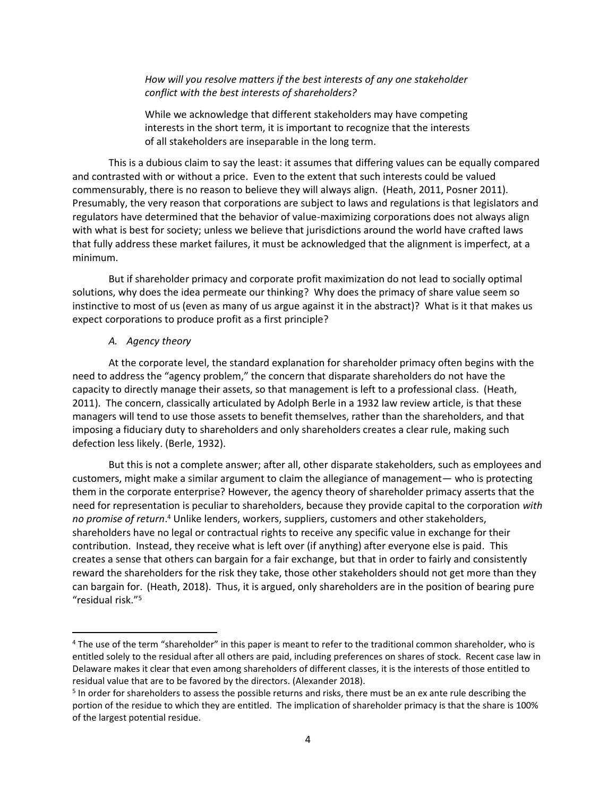## *How will you resolve matters if the best interests of any one stakeholder conflict with the best interests of shareholders?*

While we acknowledge that different stakeholders may have competing interests in the short term, it is important to recognize that the interests of all stakeholders are inseparable in the long term.

This is a dubious claim to say the least: it assumes that differing values can be equally compared and contrasted with or without a price. Even to the extent that such interests could be valued commensurably, there is no reason to believe they will always align. (Heath, 2011, Posner 2011). Presumably, the very reason that corporations are subject to laws and regulations is that legislators and regulators have determined that the behavior of value-maximizing corporations does not always align with what is best for society; unless we believe that jurisdictions around the world have crafted laws that fully address these market failures, it must be acknowledged that the alignment is imperfect, at a minimum.

But if shareholder primacy and corporate profit maximization do not lead to socially optimal solutions, why does the idea permeate our thinking? Why does the primacy of share value seem so instinctive to most of us (even as many of us argue against it in the abstract)? What is it that makes us expect corporations to produce profit as a first principle?

#### *A. Agency theory*

At the corporate level, the standard explanation for shareholder primacy often begins with the need to address the "agency problem," the concern that disparate shareholders do not have the capacity to directly manage their assets, so that management is left to a professional class. (Heath, 2011). The concern, classically articulated by Adolph Berle in a 1932 law review article, is that these managers will tend to use those assets to benefit themselves, rather than the shareholders, and that imposing a fiduciary duty to shareholders and only shareholders creates a clear rule, making such defection less likely. (Berle, 1932).

But this is not a complete answer; after all, other disparate stakeholders, such as employees and customers, might make a similar argument to claim the allegiance of management— who is protecting them in the corporate enterprise? However, the agency theory of shareholder primacy asserts that the need for representation is peculiar to shareholders, because they provide capital to the corporation *with no promise of return*. <sup>4</sup> Unlike lenders, workers, suppliers, customers and other stakeholders, shareholders have no legal or contractual rights to receive any specific value in exchange for their contribution. Instead, they receive what is left over (if anything) after everyone else is paid. This creates a sense that others can bargain for a fair exchange, but that in order to fairly and consistently reward the shareholders for the risk they take, those other stakeholders should not get more than they can bargain for. (Heath, 2018). Thus, it is argued, only shareholders are in the position of bearing pure "residual risk."<sup>5</sup>

<sup>4</sup> The use of the term "shareholder" in this paper is meant to refer to the traditional common shareholder, who is entitled solely to the residual after all others are paid, including preferences on shares of stock. Recent case law in Delaware makes it clear that even among shareholders of different classes, it is the interests of those entitled to residual value that are to be favored by the directors. (Alexander 2018).

<sup>&</sup>lt;sup>5</sup> In order for shareholders to assess the possible returns and risks, there must be an ex ante rule describing the portion of the residue to which they are entitled. The implication of shareholder primacy is that the share is 100% of the largest potential residue.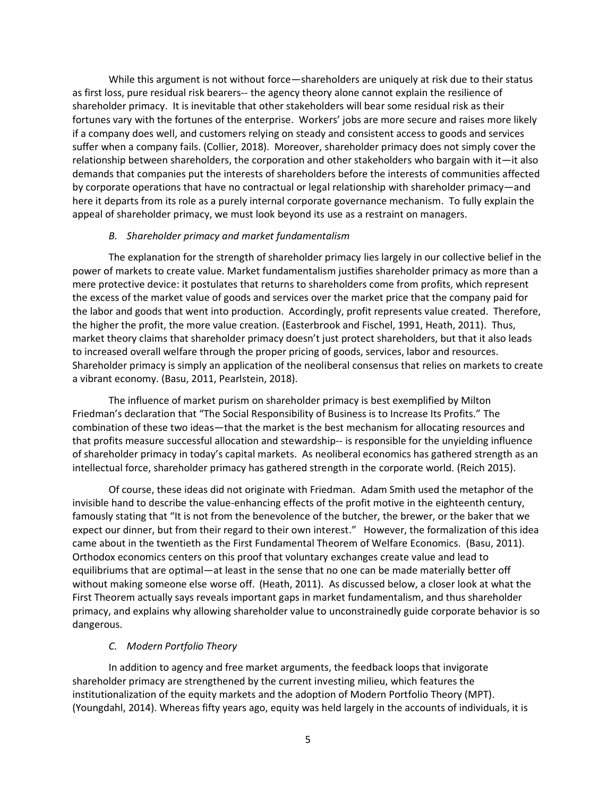While this argument is not without force—shareholders are uniquely at risk due to their status as first loss, pure residual risk bearers-- the agency theory alone cannot explain the resilience of shareholder primacy. It is inevitable that other stakeholders will bear some residual risk as their fortunes vary with the fortunes of the enterprise. Workers' jobs are more secure and raises more likely if a company does well, and customers relying on steady and consistent access to goods and services suffer when a company fails. (Collier, 2018). Moreover, shareholder primacy does not simply cover the relationship between shareholders, the corporation and other stakeholders who bargain with it—it also demands that companies put the interests of shareholders before the interests of communities affected by corporate operations that have no contractual or legal relationship with shareholder primacy—and here it departs from its role as a purely internal corporate governance mechanism. To fully explain the appeal of shareholder primacy, we must look beyond its use as a restraint on managers.

#### *B. Shareholder primacy and market fundamentalism*

The explanation for the strength of shareholder primacy lies largely in our collective belief in the power of markets to create value. Market fundamentalism justifies shareholder primacy as more than a mere protective device: it postulates that returns to shareholders come from profits, which represent the excess of the market value of goods and services over the market price that the company paid for the labor and goods that went into production. Accordingly, profit represents value created. Therefore, the higher the profit, the more value creation. (Easterbrook and Fischel, 1991, Heath, 2011). Thus, market theory claims that shareholder primacy doesn't just protect shareholders, but that it also leads to increased overall welfare through the proper pricing of goods, services, labor and resources. Shareholder primacy is simply an application of the neoliberal consensus that relies on markets to create a vibrant economy. (Basu, 2011, Pearlstein, 2018).

The influence of market purism on shareholder primacy is best exemplified by Milton Friedman's declaration that "The Social Responsibility of Business is to Increase Its Profits." The combination of these two ideas—that the market is the best mechanism for allocating resources and that profits measure successful allocation and stewardship-- is responsible for the unyielding influence of shareholder primacy in today's capital markets. As neoliberal economics has gathered strength as an intellectual force, shareholder primacy has gathered strength in the corporate world. (Reich 2015).

Of course, these ideas did not originate with Friedman. Adam Smith used the metaphor of the invisible hand to describe the value-enhancing effects of the profit motive in the eighteenth century, famously stating that "It is not from the benevolence of the butcher, the brewer, or the baker that we expect our dinner, but from their regard to their own interest." However, the formalization of this idea came about in the twentieth as the First Fundamental Theorem of Welfare Economics. (Basu, 2011). Orthodox economics centers on this proof that voluntary exchanges create value and lead to equilibriums that are optimal—at least in the sense that no one can be made materially better off without making someone else worse off. (Heath, 2011). As discussed below, a closer look at what the First Theorem actually says reveals important gaps in market fundamentalism, and thus shareholder primacy, and explains why allowing shareholder value to unconstrainedly guide corporate behavior is so dangerous.

### *C. Modern Portfolio Theory*

In addition to agency and free market arguments, the feedback loops that invigorate shareholder primacy are strengthened by the current investing milieu, which features the institutionalization of the equity markets and the adoption of Modern Portfolio Theory (MPT). (Youngdahl, 2014). Whereas fifty years ago, equity was held largely in the accounts of individuals, it is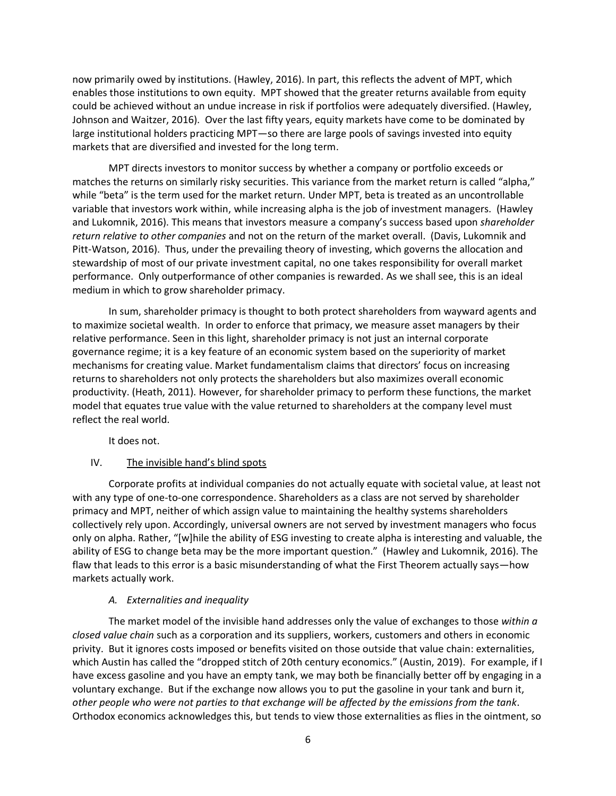now primarily owed by institutions. (Hawley, 2016). In part, this reflects the advent of MPT, which enables those institutions to own equity. MPT showed that the greater returns available from equity could be achieved without an undue increase in risk if portfolios were adequately diversified. (Hawley, Johnson and Waitzer, 2016). Over the last fifty years, equity markets have come to be dominated by large institutional holders practicing MPT—so there are large pools of savings invested into equity markets that are diversified and invested for the long term.

MPT directs investors to monitor success by whether a company or portfolio exceeds or matches the returns on similarly risky securities. This variance from the market return is called "alpha," while "beta" is the term used for the market return. Under MPT, beta is treated as an uncontrollable variable that investors work within, while increasing alpha is the job of investment managers. (Hawley and Lukomnik, 2016). This means that investors measure a company's success based upon *shareholder return relative to other companies* and not on the return of the market overall. (Davis, Lukomnik and Pitt-Watson, 2016). Thus, under the prevailing theory of investing, which governs the allocation and stewardship of most of our private investment capital, no one takes responsibility for overall market performance. Only outperformance of other companies is rewarded. As we shall see, this is an ideal medium in which to grow shareholder primacy.

In sum, shareholder primacy is thought to both protect shareholders from wayward agents and to maximize societal wealth. In order to enforce that primacy, we measure asset managers by their relative performance. Seen in this light, shareholder primacy is not just an internal corporate governance regime; it is a key feature of an economic system based on the superiority of market mechanisms for creating value. Market fundamentalism claims that directors' focus on increasing returns to shareholders not only protects the shareholders but also maximizes overall economic productivity. (Heath, 2011). However, for shareholder primacy to perform these functions, the market model that equates true value with the value returned to shareholders at the company level must reflect the real world.

It does not.

## IV. The invisible hand's blind spots

Corporate profits at individual companies do not actually equate with societal value, at least not with any type of one-to-one correspondence. Shareholders as a class are not served by shareholder primacy and MPT, neither of which assign value to maintaining the healthy systems shareholders collectively rely upon. Accordingly, universal owners are not served by investment managers who focus only on alpha. Rather, "[w]hile the ability of ESG investing to create alpha is interesting and valuable, the ability of ESG to change beta may be the more important question." (Hawley and Lukomnik, 2016). The flaw that leads to this error is a basic misunderstanding of what the First Theorem actually says—how markets actually work.

## *A. Externalities and inequality*

The market model of the invisible hand addresses only the value of exchanges to those *within a closed value chain* such as a corporation and its suppliers, workers, customers and others in economic privity. But it ignores costs imposed or benefits visited on those outside that value chain: externalities, which Austin has called the "dropped stitch of 20th century economics." (Austin, 2019). For example, if I have excess gasoline and you have an empty tank, we may both be financially better off by engaging in a voluntary exchange. But if the exchange now allows you to put the gasoline in your tank and burn it, *other people who were not parties to that exchange will be affected by the emissions from the tank*. Orthodox economics acknowledges this, but tends to view those externalities as flies in the ointment, so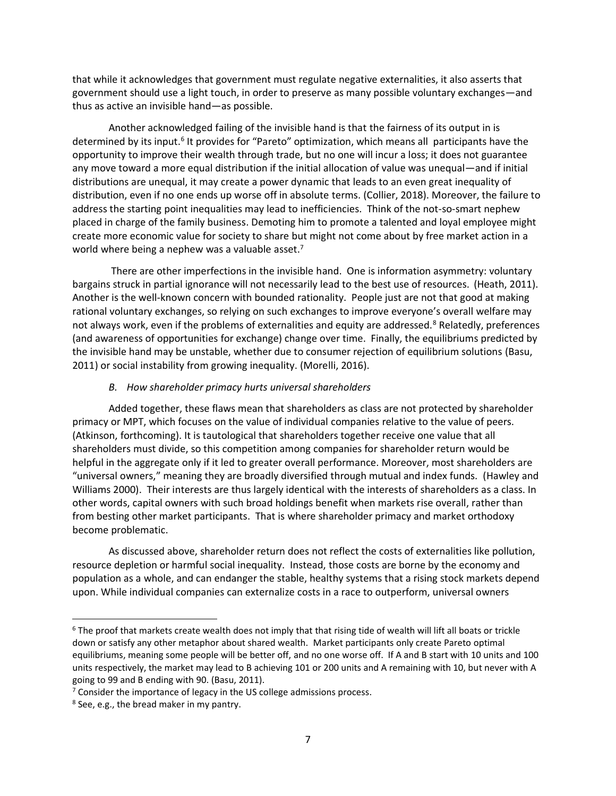that while it acknowledges that government must regulate negative externalities, it also asserts that government should use a light touch, in order to preserve as many possible voluntary exchanges—and thus as active an invisible hand—as possible.

Another acknowledged failing of the invisible hand is that the fairness of its output in is determined by its input.<sup>6</sup> It provides for "Pareto" optimization, which means all participants have the opportunity to improve their wealth through trade, but no one will incur a loss; it does not guarantee any move toward a more equal distribution if the initial allocation of value was unequal—and if initial distributions are unequal, it may create a power dynamic that leads to an even great inequality of distribution, even if no one ends up worse off in absolute terms. (Collier, 2018). Moreover, the failure to address the starting point inequalities may lead to inefficiencies. Think of the not-so-smart nephew placed in charge of the family business. Demoting him to promote a talented and loyal employee might create more economic value for society to share but might not come about by free market action in a world where being a nephew was a valuable asset.<sup>7</sup>

There are other imperfections in the invisible hand. One is information asymmetry: voluntary bargains struck in partial ignorance will not necessarily lead to the best use of resources. (Heath, 2011). Another is the well-known concern with bounded rationality. People just are not that good at making rational voluntary exchanges, so relying on such exchanges to improve everyone's overall welfare may not always work, even if the problems of externalities and equity are addressed.<sup>8</sup> Relatedly, preferences (and awareness of opportunities for exchange) change over time. Finally, the equilibriums predicted by the invisible hand may be unstable, whether due to consumer rejection of equilibrium solutions (Basu, 2011) or social instability from growing inequality. (Morelli, 2016).

## *B. How shareholder primacy hurts universal shareholders*

Added together, these flaws mean that shareholders as class are not protected by shareholder primacy or MPT, which focuses on the value of individual companies relative to the value of peers. (Atkinson, forthcoming). It is tautological that shareholders together receive one value that all shareholders must divide, so this competition among companies for shareholder return would be helpful in the aggregate only if it led to greater overall performance. Moreover, most shareholders are "universal owners," meaning they are broadly diversified through mutual and index funds. (Hawley and Williams 2000). Their interests are thus largely identical with the interests of shareholders as a class. In other words, capital owners with such broad holdings benefit when markets rise overall, rather than from besting other market participants. That is where shareholder primacy and market orthodoxy become problematic.

As discussed above, shareholder return does not reflect the costs of externalities like pollution, resource depletion or harmful social inequality. Instead, those costs are borne by the economy and population as a whole, and can endanger the stable, healthy systems that a rising stock markets depend upon. While individual companies can externalize costs in a race to outperform, universal owners

<sup>&</sup>lt;sup>6</sup> The proof that markets create wealth does not imply that that rising tide of wealth will lift all boats or trickle down or satisfy any other metaphor about shared wealth. Market participants only create Pareto optimal equilibriums, meaning some people will be better off, and no one worse off. If A and B start with 10 units and 100 units respectively, the market may lead to B achieving 101 or 200 units and A remaining with 10, but never with A going to 99 and B ending with 90. (Basu, 2011).

<sup>&</sup>lt;sup>7</sup> Consider the importance of legacy in the US college admissions process.

<sup>8</sup> See, e.g., the bread maker in my pantry.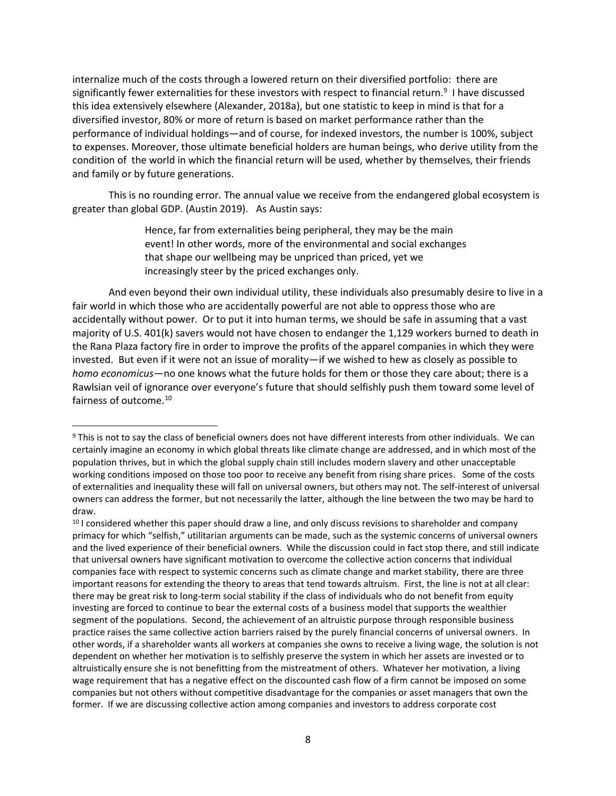internalize much of the costs through a lowered return on their diversified portfolio: there are significantly fewer externalities for these investors with respect to financial return.<sup>9</sup> I have discussed this idea extensively elsewhere (Alexander, 2018a), but one statistic to keep in mind is that for a diversified investor, 80% or more of return is based on market performance rather than the performance of individual holdings—and of course, for indexed investors, the number is 100%, subject to expenses. Moreover, those ultimate beneficial holders are human beings, who derive utility from the condition of the world in which the financial return will be used, whether by themselves, their friends and family or by future generations.

This is no rounding error. The annual value we receive from the endangered global ecosystem is greater than global GDP. (Austin 2019). As Austin says:

> Hence, far from externalities being peripheral, they may be the main event! In other words, more of the environmental and social exchanges that shape our wellbeing may be unpriced than priced, yet we increasingly steer by the priced exchanges only.

And even beyond their own individual utility, these individuals also presumably desire to live in a fair world in which those who are accidentally powerful are not able to oppress those who are accidentally without power. Or to put it into human terms, we should be safe in assuming that a vast majority of U.S. 401(k) savers would not have chosen to endanger the 1,129 workers burned to death in the Rana Plaza factory fire in order to improve the profits of the apparel companies in which they were invested. But even if it were not an issue of morality—if we wished to hew as closely as possible to *homo economicus—*no one knows what the future holds for them or those they care about; there is a Rawlsian veil of ignorance over everyone's future that should selfishly push them toward some level of fairness of outcome.<sup>10</sup>

<sup>9</sup> This is not to say the class of beneficial owners does not have different interests from other individuals. We can certainly imagine an economy in which global threats like climate change are addressed, and in which most of the population thrives, but in which the global supply chain still includes modern slavery and other unacceptable working conditions imposed on those too poor to receive any benefit from rising share prices. Some of the costs of externalities and inequality these will fall on universal owners, but others may not. The self-interest of universal owners can address the former, but not necessarily the latter, although the line between the two may be hard to draw.

<sup>&</sup>lt;sup>10</sup> I considered whether this paper should draw a line, and only discuss revisions to shareholder and company primacy for which "selfish," utilitarian arguments can be made, such as the systemic concerns of universal owners and the lived experience of their beneficial owners. While the discussion could in fact stop there, and still indicate that universal owners have significant motivation to overcome the collective action concerns that individual companies face with respect to systemic concerns such as climate change and market stability, there are three important reasons for extending the theory to areas that tend towards altruism. First, the line is not at all clear: there may be great risk to long-term social stability if the class of individuals who do not benefit from equity investing are forced to continue to bear the external costs of a business model that supports the wealthier segment of the populations. Second, the achievement of an altruistic purpose through responsible business practice raises the same collective action barriers raised by the purely financial concerns of universal owners. In other words, if a shareholder wants all workers at companies she owns to receive a living wage, the solution is not dependent on whether her motivation is to selfishly preserve the system in which her assets are invested or to altruistically ensure she is not benefitting from the mistreatment of others. Whatever her motivation, a living wage requirement that has a negative effect on the discounted cash flow of a firm cannot be imposed on some companies but not others without competitive disadvantage for the companies or asset managers that own the former. If we are discussing collective action among companies and investors to address corporate cost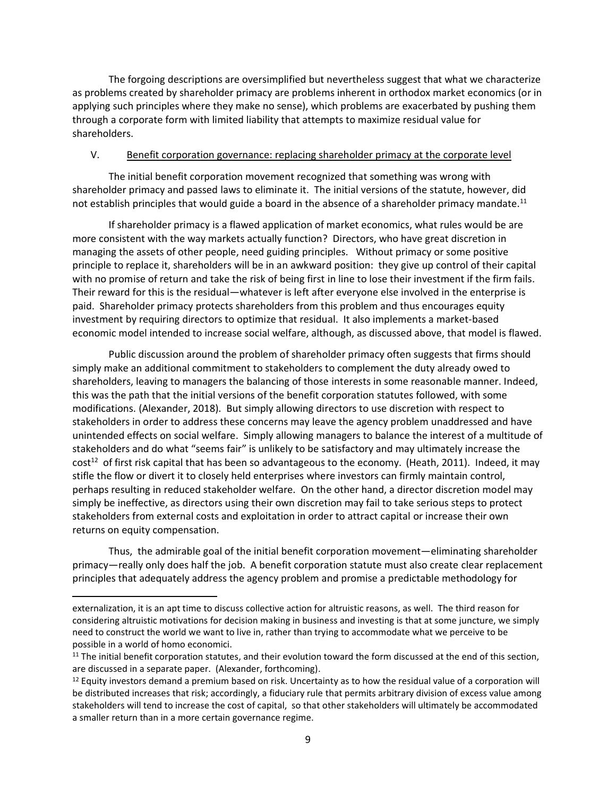The forgoing descriptions are oversimplified but nevertheless suggest that what we characterize as problems created by shareholder primacy are problems inherent in orthodox market economics (or in applying such principles where they make no sense), which problems are exacerbated by pushing them through a corporate form with limited liability that attempts to maximize residual value for shareholders.

## V. Benefit corporation governance: replacing shareholder primacy at the corporate level

The initial benefit corporation movement recognized that something was wrong with shareholder primacy and passed laws to eliminate it. The initial versions of the statute, however, did not establish principles that would guide a board in the absence of a shareholder primacy mandate.<sup>11</sup>

If shareholder primacy is a flawed application of market economics, what rules would be are more consistent with the way markets actually function? Directors, who have great discretion in managing the assets of other people, need guiding principles. Without primacy or some positive principle to replace it, shareholders will be in an awkward position: they give up control of their capital with no promise of return and take the risk of being first in line to lose their investment if the firm fails. Their reward for this is the residual—whatever is left after everyone else involved in the enterprise is paid. Shareholder primacy protects shareholders from this problem and thus encourages equity investment by requiring directors to optimize that residual. It also implements a market-based economic model intended to increase social welfare, although, as discussed above, that model is flawed.

Public discussion around the problem of shareholder primacy often suggests that firms should simply make an additional commitment to stakeholders to complement the duty already owed to shareholders, leaving to managers the balancing of those interests in some reasonable manner. Indeed, this was the path that the initial versions of the benefit corporation statutes followed, with some modifications. (Alexander, 2018). But simply allowing directors to use discretion with respect to stakeholders in order to address these concerns may leave the agency problem unaddressed and have unintended effects on social welfare. Simply allowing managers to balance the interest of a multitude of stakeholders and do what "seems fair" is unlikely to be satisfactory and may ultimately increase the  $cost<sup>12</sup>$  of first risk capital that has been so advantageous to the economy. (Heath, 2011). Indeed, it may stifle the flow or divert it to closely held enterprises where investors can firmly maintain control, perhaps resulting in reduced stakeholder welfare. On the other hand, a director discretion model may simply be ineffective, as directors using their own discretion may fail to take serious steps to protect stakeholders from external costs and exploitation in order to attract capital or increase their own returns on equity compensation.

Thus, the admirable goal of the initial benefit corporation movement—eliminating shareholder primacy—really only does half the job. A benefit corporation statute must also create clear replacement principles that adequately address the agency problem and promise a predictable methodology for

externalization, it is an apt time to discuss collective action for altruistic reasons, as well. The third reason for considering altruistic motivations for decision making in business and investing is that at some juncture, we simply need to construct the world we want to live in, rather than trying to accommodate what we perceive to be possible in a world of homo economici.

 $11$  The initial benefit corporation statutes, and their evolution toward the form discussed at the end of this section, are discussed in a separate paper. (Alexander, forthcoming).

 $12$  Equity investors demand a premium based on risk. Uncertainty as to how the residual value of a corporation will be distributed increases that risk; accordingly, a fiduciary rule that permits arbitrary division of excess value among stakeholders will tend to increase the cost of capital, so that other stakeholders will ultimately be accommodated a smaller return than in a more certain governance regime.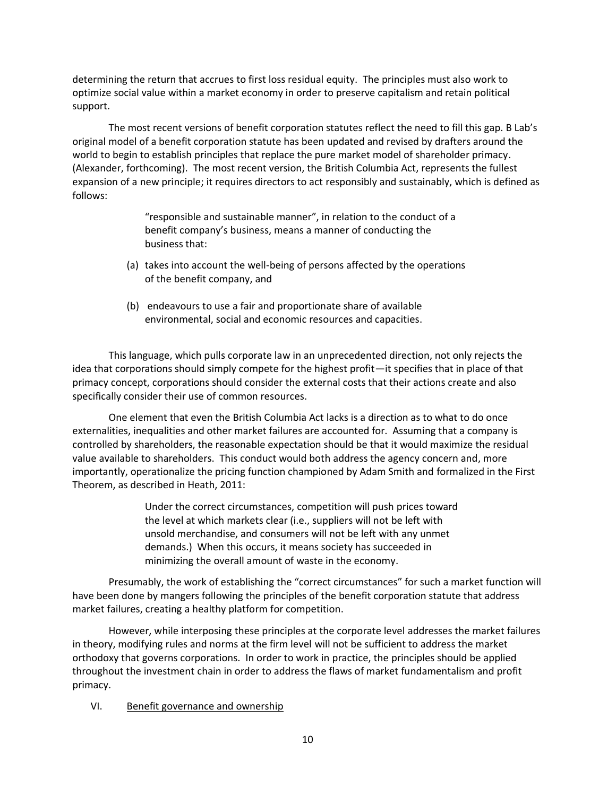determining the return that accrues to first loss residual equity. The principles must also work to optimize social value within a market economy in order to preserve capitalism and retain political support.

The most recent versions of benefit corporation statutes reflect the need to fill this gap. B Lab's original model of a benefit corporation statute has been updated and revised by drafters around the world to begin to establish principles that replace the pure market model of shareholder primacy. (Alexander, forthcoming). The most recent version, the British Columbia Act, represents the fullest expansion of a new principle; it requires directors to act responsibly and sustainably, which is defined as follows:

> "responsible and sustainable manner", in relation to the conduct of a benefit company's business, means a manner of conducting the business that:

- (a) takes into account the well-being of persons affected by the operations of the benefit company, and
- (b) endeavours to use a fair and proportionate share of available environmental, social and economic resources and capacities.

This language, which pulls corporate law in an unprecedented direction, not only rejects the idea that corporations should simply compete for the highest profit—it specifies that in place of that primacy concept, corporations should consider the external costs that their actions create and also specifically consider their use of common resources.

One element that even the British Columbia Act lacks is a direction as to what to do once externalities, inequalities and other market failures are accounted for. Assuming that a company is controlled by shareholders, the reasonable expectation should be that it would maximize the residual value available to shareholders. This conduct would both address the agency concern and, more importantly, operationalize the pricing function championed by Adam Smith and formalized in the First Theorem, as described in Heath, 2011:

> Under the correct circumstances, competition will push prices toward the level at which markets clear (i.e., suppliers will not be left with unsold merchandise, and consumers will not be left with any unmet demands.) When this occurs, it means society has succeeded in minimizing the overall amount of waste in the economy.

Presumably, the work of establishing the "correct circumstances" for such a market function will have been done by mangers following the principles of the benefit corporation statute that address market failures, creating a healthy platform for competition.

However, while interposing these principles at the corporate level addresses the market failures in theory, modifying rules and norms at the firm level will not be sufficient to address the market orthodoxy that governs corporations. In order to work in practice, the principles should be applied throughout the investment chain in order to address the flaws of market fundamentalism and profit primacy.

## VI. Benefit governance and ownership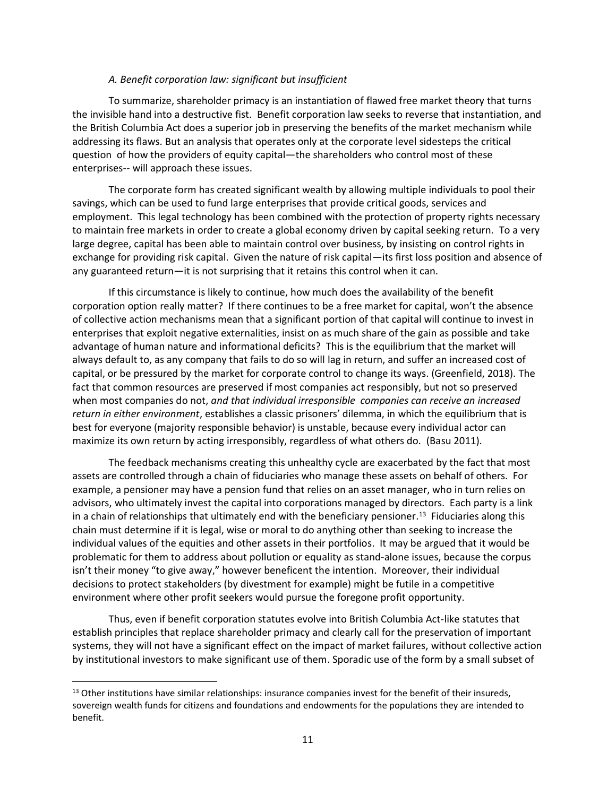### *A. Benefit corporation law: significant but insufficient*

To summarize, shareholder primacy is an instantiation of flawed free market theory that turns the invisible hand into a destructive fist. Benefit corporation law seeks to reverse that instantiation, and the British Columbia Act does a superior job in preserving the benefits of the market mechanism while addressing its flaws. But an analysis that operates only at the corporate level sidesteps the critical question of how the providers of equity capital—the shareholders who control most of these enterprises-- will approach these issues.

The corporate form has created significant wealth by allowing multiple individuals to pool their savings, which can be used to fund large enterprises that provide critical goods, services and employment. This legal technology has been combined with the protection of property rights necessary to maintain free markets in order to create a global economy driven by capital seeking return. To a very large degree, capital has been able to maintain control over business, by insisting on control rights in exchange for providing risk capital. Given the nature of risk capital—its first loss position and absence of any guaranteed return—it is not surprising that it retains this control when it can.

If this circumstance is likely to continue, how much does the availability of the benefit corporation option really matter? If there continues to be a free market for capital, won't the absence of collective action mechanisms mean that a significant portion of that capital will continue to invest in enterprises that exploit negative externalities, insist on as much share of the gain as possible and take advantage of human nature and informational deficits? This is the equilibrium that the market will always default to, as any company that fails to do so will lag in return, and suffer an increased cost of capital, or be pressured by the market for corporate control to change its ways. (Greenfield, 2018). The fact that common resources are preserved if most companies act responsibly, but not so preserved when most companies do not, *and that individual irresponsible companies can receive an increased return in either environment*, establishes a classic prisoners' dilemma, in which the equilibrium that is best for everyone (majority responsible behavior) is unstable, because every individual actor can maximize its own return by acting irresponsibly, regardless of what others do. (Basu 2011).

The feedback mechanisms creating this unhealthy cycle are exacerbated by the fact that most assets are controlled through a chain of fiduciaries who manage these assets on behalf of others. For example, a pensioner may have a pension fund that relies on an asset manager, who in turn relies on advisors, who ultimately invest the capital into corporations managed by directors. Each party is a link in a chain of relationships that ultimately end with the beneficiary pensioner.<sup>13</sup> Fiduciaries along this chain must determine if it is legal, wise or moral to do anything other than seeking to increase the individual values of the equities and other assets in their portfolios. It may be argued that it would be problematic for them to address about pollution or equality as stand-alone issues, because the corpus isn't their money "to give away," however beneficent the intention. Moreover, their individual decisions to protect stakeholders (by divestment for example) might be futile in a competitive environment where other profit seekers would pursue the foregone profit opportunity.

Thus, even if benefit corporation statutes evolve into British Columbia Act-like statutes that establish principles that replace shareholder primacy and clearly call for the preservation of important systems, they will not have a significant effect on the impact of market failures, without collective action by institutional investors to make significant use of them. Sporadic use of the form by a small subset of

<sup>&</sup>lt;sup>13</sup> Other institutions have similar relationships: insurance companies invest for the benefit of their insureds, sovereign wealth funds for citizens and foundations and endowments for the populations they are intended to benefit.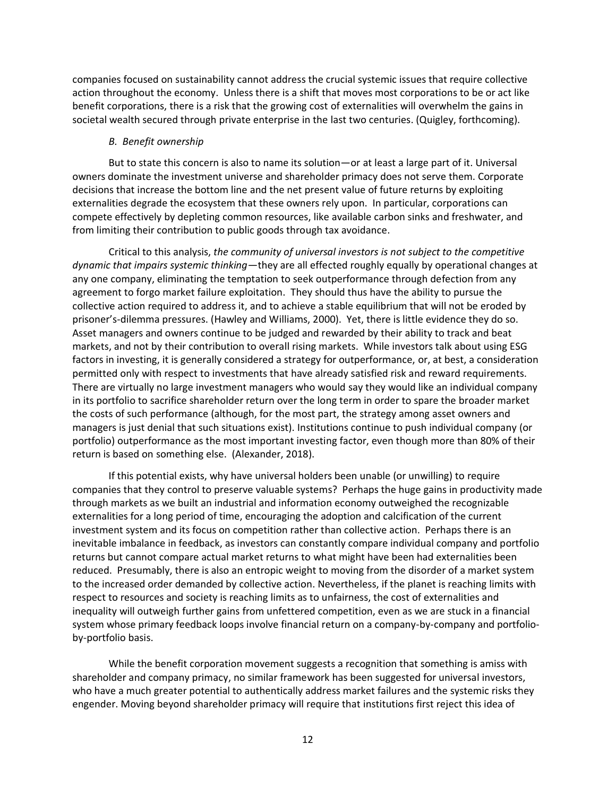companies focused on sustainability cannot address the crucial systemic issues that require collective action throughout the economy. Unless there is a shift that moves most corporations to be or act like benefit corporations, there is a risk that the growing cost of externalities will overwhelm the gains in societal wealth secured through private enterprise in the last two centuries. (Quigley, forthcoming).

### *B. Benefit ownership*

But to state this concern is also to name its solution—or at least a large part of it. Universal owners dominate the investment universe and shareholder primacy does not serve them. Corporate decisions that increase the bottom line and the net present value of future returns by exploiting externalities degrade the ecosystem that these owners rely upon. In particular, corporations can compete effectively by depleting common resources, like available carbon sinks and freshwater, and from limiting their contribution to public goods through tax avoidance.

Critical to this analysis, *the community of universal investors is not subject to the competitive dynamic that impairs systemic thinking*—they are all effected roughly equally by operational changes at any one company, eliminating the temptation to seek outperformance through defection from any agreement to forgo market failure exploitation. They should thus have the ability to pursue the collective action required to address it, and to achieve a stable equilibrium that will not be eroded by prisoner's-dilemma pressures. (Hawley and Williams, 2000). Yet, there is little evidence they do so. Asset managers and owners continue to be judged and rewarded by their ability to track and beat markets, and not by their contribution to overall rising markets. While investors talk about using ESG factors in investing, it is generally considered a strategy for outperformance, or, at best, a consideration permitted only with respect to investments that have already satisfied risk and reward requirements. There are virtually no large investment managers who would say they would like an individual company in its portfolio to sacrifice shareholder return over the long term in order to spare the broader market the costs of such performance (although, for the most part, the strategy among asset owners and managers is just denial that such situations exist). Institutions continue to push individual company (or portfolio) outperformance as the most important investing factor, even though more than 80% of their return is based on something else. (Alexander, 2018).

If this potential exists, why have universal holders been unable (or unwilling) to require companies that they control to preserve valuable systems? Perhaps the huge gains in productivity made through markets as we built an industrial and information economy outweighed the recognizable externalities for a long period of time, encouraging the adoption and calcification of the current investment system and its focus on competition rather than collective action. Perhaps there is an inevitable imbalance in feedback, as investors can constantly compare individual company and portfolio returns but cannot compare actual market returns to what might have been had externalities been reduced. Presumably, there is also an entropic weight to moving from the disorder of a market system to the increased order demanded by collective action. Nevertheless, if the planet is reaching limits with respect to resources and society is reaching limits as to unfairness, the cost of externalities and inequality will outweigh further gains from unfettered competition, even as we are stuck in a financial system whose primary feedback loops involve financial return on a company-by-company and portfolioby-portfolio basis.

While the benefit corporation movement suggests a recognition that something is amiss with shareholder and company primacy, no similar framework has been suggested for universal investors, who have a much greater potential to authentically address market failures and the systemic risks they engender. Moving beyond shareholder primacy will require that institutions first reject this idea of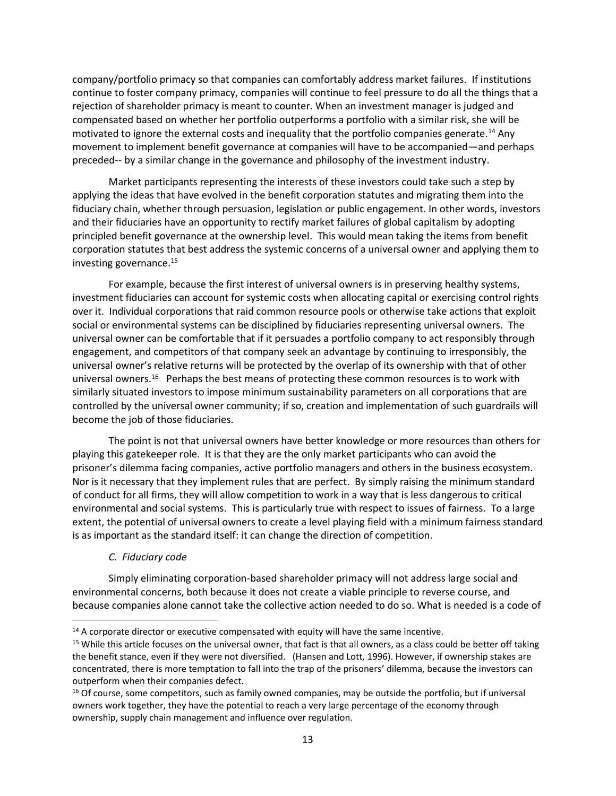company/portfolio primacy so that companies can comfortably address market failures. If institutions continue to foster company primacy, companies will continue to feel pressure to do all the things that a rejection of shareholder primacy is meant to counter. When an investment manager is judged and compensated based on whether her portfolio outperforms a portfolio with a similar risk, she will be motivated to ignore the external costs and inequality that the portfolio companies generate. <sup>14</sup> Any movement to implement benefit governance at companies will have to be accompanied—and perhaps preceded-- by a similar change in the governance and philosophy of the investment industry.

Market participants representing the interests of these investors could take such a step by applying the ideas that have evolved in the benefit corporation statutes and migrating them into the fiduciary chain, whether through persuasion, legislation or public engagement. In other words, investors and their fiduciaries have an opportunity to rectify market failures of global capitalism by adopting principled benefit governance at the ownership level. This would mean taking the items from benefit corporation statutes that best address the systemic concerns of a universal owner and applying them to investing governance. 15

For example, because the first interest of universal owners is in preserving healthy systems, investment fiduciaries can account for systemic costs when allocating capital or exercising control rights over it. Individual corporations that raid common resource pools or otherwise take actions that exploit social or environmental systems can be disciplined by fiduciaries representing universal owners. The universal owner can be comfortable that if it persuades a portfolio company to act responsibly through engagement, and competitors of that company seek an advantage by continuing to irresponsibly, the universal owner's relative returns will be protected by the overlap of its ownership with that of other universal owners.<sup>16</sup> Perhaps the best means of protecting these common resources is to work with similarly situated investors to impose minimum sustainability parameters on all corporations that are controlled by the universal owner community; if so, creation and implementation of such guardrails will become the job of those fiduciaries.

The point is not that universal owners have better knowledge or more resources than others for playing this gatekeeper role. It is that they are the only market participants who can avoid the prisoner's dilemma facing companies, active portfolio managers and others in the business ecosystem. Nor is it necessary that they implement rules that are perfect. By simply raising the minimum standard of conduct for all firms, they will allow competition to work in a way that is less dangerous to critical environmental and social systems. This is particularly true with respect to issues of fairness. To a large extent, the potential of universal owners to create a level playing field with a minimum fairness standard is as important as the standard itself: it can change the direction of competition.

### *C. Fiduciary code*

Simply eliminating corporation-based shareholder primacy will not address large social and environmental concerns, both because it does not create a viable principle to reverse course, and because companies alone cannot take the collective action needed to do so. What is needed is a code of

<sup>&</sup>lt;sup>14</sup> A corporate director or executive compensated with equity will have the same incentive.

<sup>&</sup>lt;sup>15</sup> While this article focuses on the universal owner, that fact is that all owners, as a class could be better off taking the benefit stance, even if they were not diversified. (Hansen and Lott, 1996). However, if ownership stakes are concentrated, there is more temptation to fall into the trap of the prisoners' dilemma, because the investors can outperform when their companies defect.

<sup>&</sup>lt;sup>16</sup> Of course, some competitors, such as family owned companies, may be outside the portfolio, but if universal owners work together, they have the potential to reach a very large percentage of the economy through ownership, supply chain management and influence over regulation.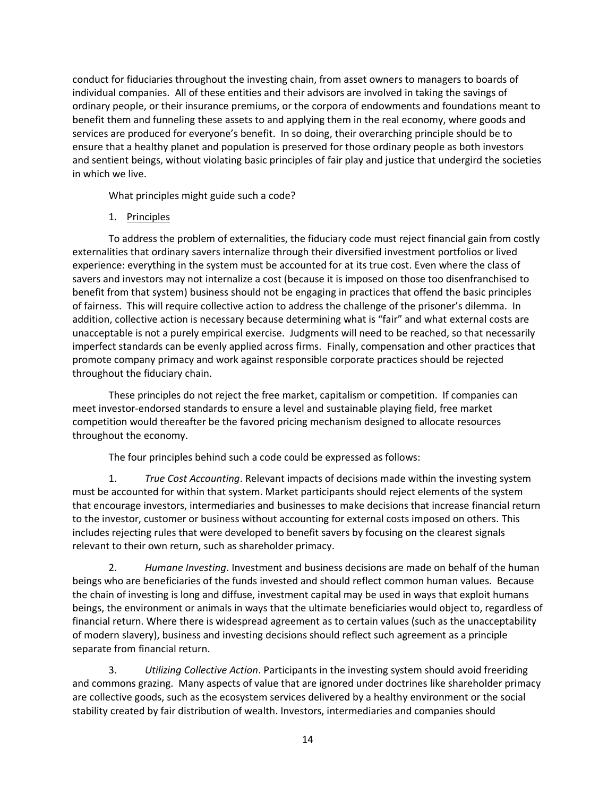conduct for fiduciaries throughout the investing chain, from asset owners to managers to boards of individual companies. All of these entities and their advisors are involved in taking the savings of ordinary people, or their insurance premiums, or the corpora of endowments and foundations meant to benefit them and funneling these assets to and applying them in the real economy, where goods and services are produced for everyone's benefit. In so doing, their overarching principle should be to ensure that a healthy planet and population is preserved for those ordinary people as both investors and sentient beings, without violating basic principles of fair play and justice that undergird the societies in which we live.

What principles might guide such a code?

# 1. Principles

To address the problem of externalities, the fiduciary code must reject financial gain from costly externalities that ordinary savers internalize through their diversified investment portfolios or lived experience: everything in the system must be accounted for at its true cost. Even where the class of savers and investors may not internalize a cost (because it is imposed on those too disenfranchised to benefit from that system) business should not be engaging in practices that offend the basic principles of fairness. This will require collective action to address the challenge of the prisoner's dilemma. In addition, collective action is necessary because determining what is "fair" and what external costs are unacceptable is not a purely empirical exercise. Judgments will need to be reached, so that necessarily imperfect standards can be evenly applied across firms. Finally, compensation and other practices that promote company primacy and work against responsible corporate practices should be rejected throughout the fiduciary chain.

These principles do not reject the free market, capitalism or competition. If companies can meet investor-endorsed standards to ensure a level and sustainable playing field, free market competition would thereafter be the favored pricing mechanism designed to allocate resources throughout the economy.

The four principles behind such a code could be expressed as follows:

1. *True Cost Accounting*. Relevant impacts of decisions made within the investing system must be accounted for within that system. Market participants should reject elements of the system that encourage investors, intermediaries and businesses to make decisions that increase financial return to the investor, customer or business without accounting for external costs imposed on others. This includes rejecting rules that were developed to benefit savers by focusing on the clearest signals relevant to their own return, such as shareholder primacy.

2. *Humane Investing*. Investment and business decisions are made on behalf of the human beings who are beneficiaries of the funds invested and should reflect common human values. Because the chain of investing is long and diffuse, investment capital may be used in ways that exploit humans beings, the environment or animals in ways that the ultimate beneficiaries would object to, regardless of financial return. Where there is widespread agreement as to certain values (such as the unacceptability of modern slavery), business and investing decisions should reflect such agreement as a principle separate from financial return.

3. *Utilizing Collective Action*. Participants in the investing system should avoid freeriding and commons grazing. Many aspects of value that are ignored under doctrines like shareholder primacy are collective goods, such as the ecosystem services delivered by a healthy environment or the social stability created by fair distribution of wealth. Investors, intermediaries and companies should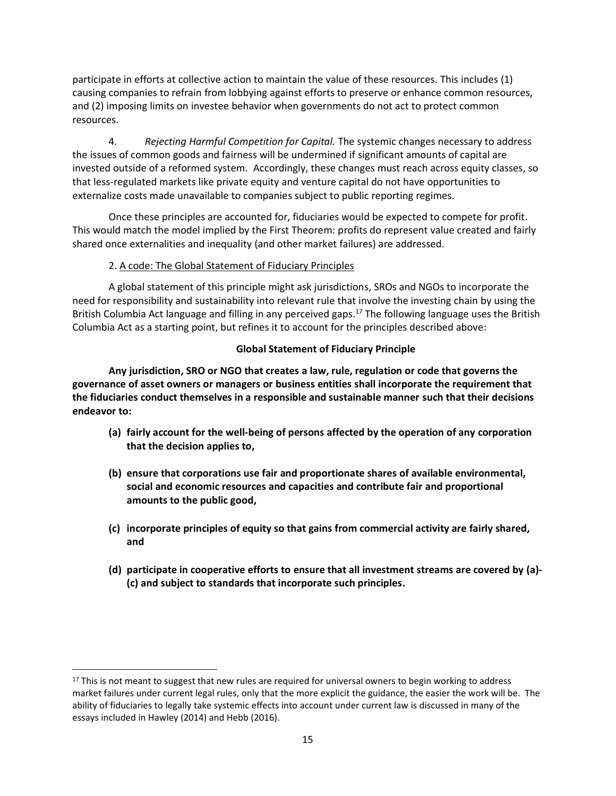participate in efforts at collective action to maintain the value of these resources. This includes (1) causing companies to refrain from lobbying against efforts to preserve or enhance common resources, and (2) imposing limits on investee behavior when governments do not act to protect common resources.

4. *Rejecting Harmful Competition for Capital.* The systemic changes necessary to address the issues of common goods and fairness will be undermined if significant amounts of capital are invested outside of a reformed system. Accordingly, these changes must reach across equity classes, so that less-regulated markets like private equity and venture capital do not have opportunities to externalize costs made unavailable to companies subject to public reporting regimes.

Once these principles are accounted for, fiduciaries would be expected to compete for profit. This would match the model implied by the First Theorem: profits do represent value created and fairly shared once externalities and inequality (and other market failures) are addressed.

# 2. A code: The Global Statement of Fiduciary Principles

A global statement of this principle might ask jurisdictions, SROs and NGOs to incorporate the need for responsibility and sustainability into relevant rule that involve the investing chain by using the British Columbia Act language and filling in any perceived gaps.<sup>17</sup> The following language uses the British Columbia Act as a starting point, but refines it to account for the principles described above:

## **Global Statement of Fiduciary Principle**

**Any jurisdiction, SRO or NGO that creates a law, rule, regulation or code that governs the governance of asset owners or managers or business entities shall incorporate the requirement that the fiduciaries conduct themselves in a responsible and sustainable manner such that their decisions endeavor to:**

- **(a) fairly account for the well-being of persons affected by the operation of any corporation that the decision applies to,**
- **(b) ensure that corporations use fair and proportionate shares of available environmental, social and economic resources and capacities and contribute fair and proportional amounts to the public good,**
- **(c) incorporate principles of equity so that gains from commercial activity are fairly shared, and**
- **(d) participate in cooperative efforts to ensure that all investment streams are covered by (a)- (c) and subject to standards that incorporate such principles.**

<sup>&</sup>lt;sup>17</sup> This is not meant to suggest that new rules are required for universal owners to begin working to address market failures under current legal rules, only that the more explicit the guidance, the easier the work will be. The ability of fiduciaries to legally take systemic effects into account under current law is discussed in many of the essays included in Hawley (2014) and Hebb (2016).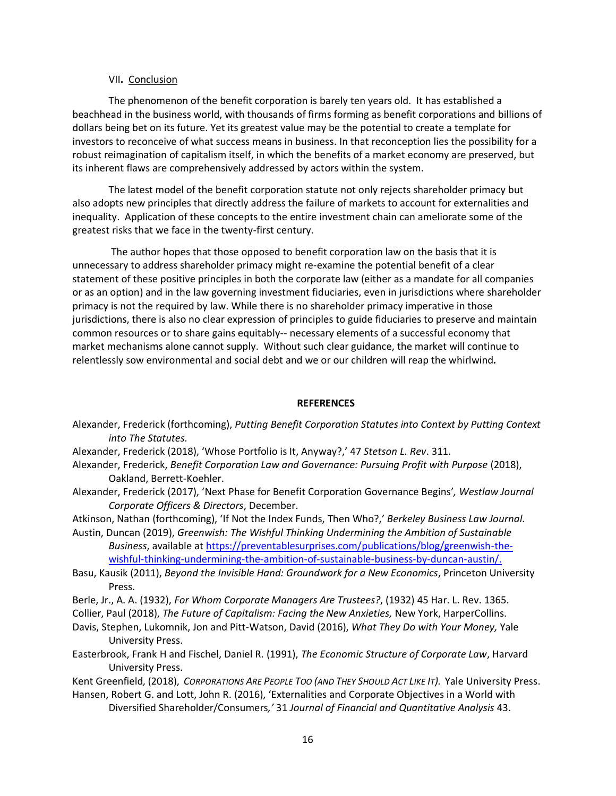### VII**.** Conclusion

The phenomenon of the benefit corporation is barely ten years old. It has established a beachhead in the business world, with thousands of firms forming as benefit corporations and billions of dollars being bet on its future. Yet its greatest value may be the potential to create a template for investors to reconceive of what success means in business. In that reconception lies the possibility for a robust reimagination of capitalism itself, in which the benefits of a market economy are preserved, but its inherent flaws are comprehensively addressed by actors within the system.

The latest model of the benefit corporation statute not only rejects shareholder primacy but also adopts new principles that directly address the failure of markets to account for externalities and inequality. Application of these concepts to the entire investment chain can ameliorate some of the greatest risks that we face in the twenty-first century.

The author hopes that those opposed to benefit corporation law on the basis that it is unnecessary to address shareholder primacy might re-examine the potential benefit of a clear statement of these positive principles in both the corporate law (either as a mandate for all companies or as an option) and in the law governing investment fiduciaries, even in jurisdictions where shareholder primacy is not the required by law. While there is no shareholder primacy imperative in those jurisdictions, there is also no clear expression of principles to guide fiduciaries to preserve and maintain common resources or to share gains equitably-- necessary elements of a successful economy that market mechanisms alone cannot supply. Without such clear guidance, the market will continue to relentlessly sow environmental and social debt and we or our children will reap the whirlwind*.*

### **REFERENCES**

- Alexander, Frederick (forthcoming), *Putting Benefit Corporation Statutes into Context by Putting Context into The Statutes.*
- Alexander, Frederick (2018), 'Whose Portfolio is It, Anyway?,' 47 *Stetson L. Rev*. 311.
- Alexander, Frederick, *Benefit Corporation Law and Governance: Pursuing Profit with Purpose* (2018), Oakland, Berrett-Koehler.
- Alexander, Frederick (2017), 'Next Phase for Benefit Corporation Governance Begins'*, Westlaw Journal Corporate Officers & Directors*, December.

Atkinson, Nathan (forthcoming), 'If Not the Index Funds, Then Who?,' *Berkeley Business Law Journal.*

Austin, Duncan (2019), *Greenwish: The Wishful Thinking Undermining the Ambition of Sustainable Business*, available a[t https://preventablesurprises.com/publications/blog/greenwish-the](https://preventablesurprises.com/publications/blog/greenwish-the-wishful-thinking-undermining-the-ambition-of-sustainable-business-by-duncan-austin/)[wishful-thinking-undermining-the-ambition-of-sustainable-business-by-duncan-austin/.](https://preventablesurprises.com/publications/blog/greenwish-the-wishful-thinking-undermining-the-ambition-of-sustainable-business-by-duncan-austin/)

- Basu, Kausik (2011), *Beyond the Invisible Hand: Groundwork for a New Economics*, Princeton University Press.
- Berle, Jr., A. A. (1932), *For Whom Corporate Managers Are Trustees?*, (1932) 45 Har. L. Rev. 1365.
- Collier, Paul (2018), *The Future of Capitalism: Facing the New Anxieties,* New York, HarperCollins.
- Davis, Stephen, Lukomnik, Jon and Pitt-Watson, David (2016), *What They Do with Your Money,* Yale University Press.
- Easterbrook, Frank H and Fischel, Daniel R. (1991), *The Economic Structure of Corporate Law*, Harvard University Press.

Kent Greenfield, (2018), CORPORATIONS ARE PEOPLE TOO (AND THEY SHOULD ACT LIKE IT). Yale University Press.

Hansen, Robert G. and Lott, John R. (2016), 'Externalities and Corporate Objectives in a World with Diversified Shareholder/Consumers*,'* 31 *Journal of Financial and Quantitative Analysis* 43.